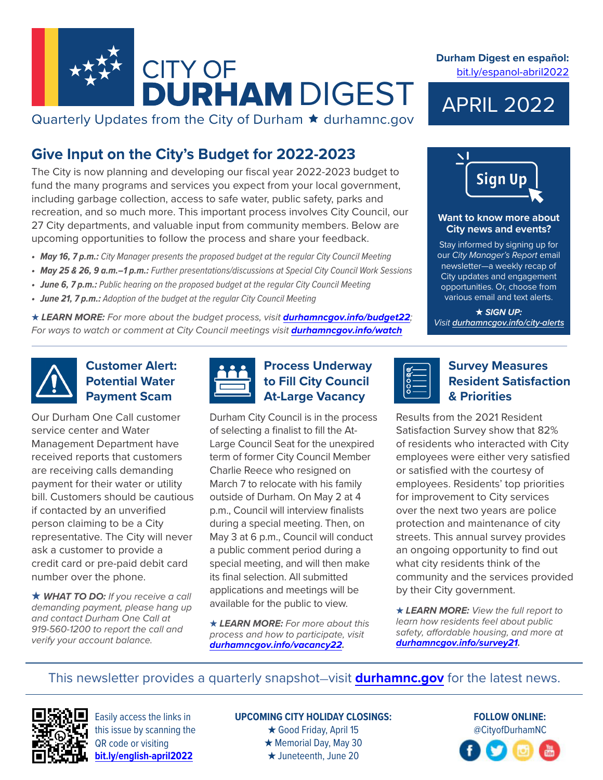

Quarterly Updates from the City of Durham  $\star$  durhamnc.gov

# **Give Input on the City's Budget for 2022-2023**

The City is now planning and developing our fiscal year 2022-2023 budget to fund the many programs and services you expect from your local government, including garbage collection, access to safe water, public safety, parks and recreation, and so much more. This important process involves City Council, our 27 City departments, and valuable input from community members. Below are upcoming opportunities to follow the process and share your feedback.

- *• May 16, 7 p.m.: City Manager presents the proposed budget at the regular City Council Meeting*
- *• May 25 & 26, 9 a.m.–1 p.m.: Further presentations/discussions at Special City Council Work Sessions*
- *• June 6, 7 p.m.: Public hearing on the proposed budget at the regular City Council Meeting*
- *• June 21, 7 p.m.: Adoption of the budget at the regular City Council Meeting*

*★ LEARN MORE: For more about the budget process, visit* **[durhamncgov.info/budget22](https://www.durhamnc.gov/204/Budget-Development-Process?utm_source=durham-digest&utm_medium=newsletter&utm_campaign=april2022)***; For ways to watch or comment at City Council meetings visit [durhamncgov.info/watch](https://www.durhamnc.gov/1345/Watch-or-Comment-at-Meetings-Work-Sessio?utm_source=durham-digest&utm_medium=newsletter&utm_campaign=april2022)*



**Customer Alert: Potential Water Payment Scam**

Our Durham One Call customer service center and Water Management Department have received reports that customers are receiving calls demanding payment for their water or utility bill. Customers should be cautious if contacted by an unverified person claiming to be a City representative. The City will never ask a customer to provide a credit card or pre-paid debit card number over the phone.

*★ WHAT TO DO: If you receive a call demanding payment, please hang up and contact Durham One Call at 919-560-1200 to report the call and verify your account balance.*



## **Process Underway to Fill City Council At-Large Vacancy**

Durham City Council is in the process of selecting a finalist to fill the At-Large Council Seat for the unexpired term of former City Council Member Charlie Reece who resigned on March 7 to relocate with his family outside of Durham. On May 2 at 4 p.m., Council will interview finalists during a special meeting. Then, on May 3 at 6 p.m., Council will conduct a public comment period during a special meeting, and will then make its final selection. All submitted applications and meetings will be available for the public to view.

*★ LEARN MORE: For more about this process and how to participate, visit [durhamncgov.info/vacancy22.](https://www.durhamnc.gov/4030/City-Council-Vacancy-Application?utm_source=durham-digest&utm_medium=newsletter&utm_campaign=april2022)*

*Visit [durhamncgov.info/city-alerts](https://www.durhamnc.gov/list.aspx?utm_source=durham-digest&utm_medium=newsletter&utm_campaign=april2022)*

## **Survey Measures Resident Satisfaction & Priorities**

Results from the 2021 Resident Satisfaction Survey show that 82% of residents who interacted with City employees were either very satisfied or satisfied with the courtesy of employees. Residents' top priorities for improvement to City services over the next two years are police protection and maintenance of city streets. This annual survey provides an ongoing opportunity to find out what city residents think of the community and the services provided by their City government.

*★ LEARN MORE: View the full report to learn how residents feel about public safety, affordable housing, and more at [durhamncgov.info/survey21.](https://www.durhamnc.gov/CivicAlerts.aspx?AID=3078&utm_source=durham-digest&utm_medium=newsletter&utm_campaign=april2022)*

# This newsletter provides a quarterly snapshot—visit **[durhamnc.gov](https://www.durhamnc.gov/)** for the latest news.



Easily access the links in this issue by scanning the QR code or visiting **[bit.ly/english-april2022](https://www.durhamnc.gov/ArchiveCenter/ViewFile/Item/5469)**

#### **UPCOMING CITY HOLIDAY CLOSINGS:**

*★* Good Friday, April 15 *★* Memorial Day, May 30 *★* Juneteenth, June 20



#### **Durham Digest en español:**  [bit.ly/espanol-abril2022](https://bit.ly/espanol-abril2022)

APRIL 2022

**Want to know more about City news and events?** Stay informed by signing up for our *City Manager's Report* email newsletter—a weekly recap of City updates and engagement opportunities. Or, choose from various email and text alerts. *★ SIGN UP:*

**Sign Up**